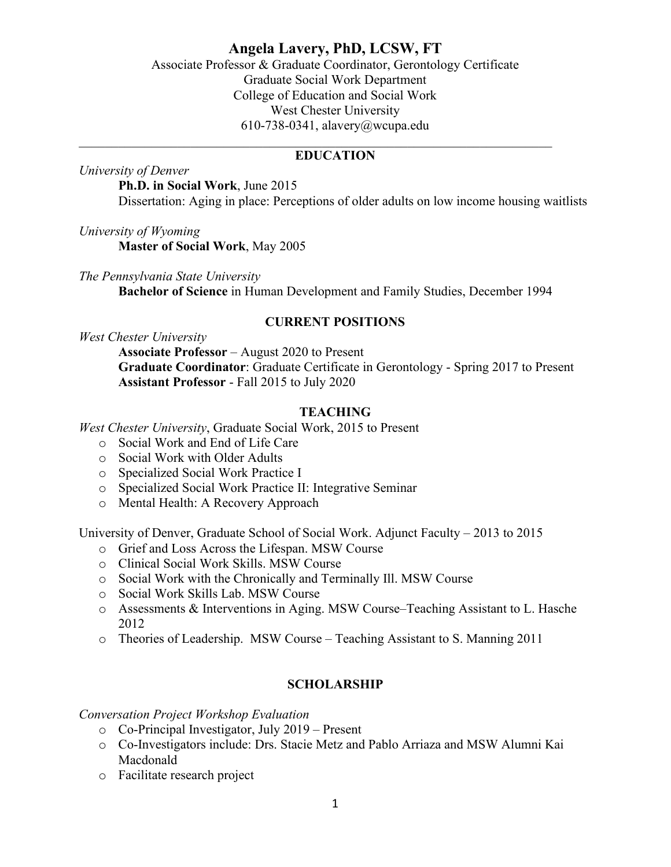# **Angela Lavery, PhD, LCSW, FT**

Associate Professor & Graduate Coordinator, Gerontology Certificate Graduate Social Work Department College of Education and Social Work West Chester University 610-738-0341, alavery@wcupa.edu  $\_$  , and the set of the set of the set of the set of the set of the set of the set of the set of the set of the set of the set of the set of the set of the set of the set of the set of the set of the set of the set of th

### **EDUCATION**

*University of Denver*

**Ph.D. in Social Work**, June 2015 Dissertation: Aging in place: Perceptions of older adults on low income housing waitlists

*University of Wyoming*

**Master of Social Work**, May 2005

*The Pennsylvania State University*  **Bachelor of Science** in Human Development and Family Studies, December 1994

### **CURRENT POSITIONS**

*West Chester University*

**Associate Professor** – August 2020 to Present **Graduate Coordinator**: Graduate Certificate in Gerontology - Spring 2017 to Present **Assistant Professor** - Fall 2015 to July 2020

### **TEACHING**

*West Chester University*, Graduate Social Work, 2015 to Present

- o Social Work and End of Life Care
- o Social Work with Older Adults
- o Specialized Social Work Practice I
- o Specialized Social Work Practice II: Integrative Seminar
- o Mental Health: A Recovery Approach

University of Denver, Graduate School of Social Work. Adjunct Faculty – 2013 to 2015

- o Grief and Loss Across the Lifespan. MSW Course
- o Clinical Social Work Skills. MSW Course
- o Social Work with the Chronically and Terminally Ill. MSW Course
- o Social Work Skills Lab. MSW Course
- o Assessments & Interventions in Aging. MSW Course–Teaching Assistant to L. Hasche 2012
- o Theories of Leadership. MSW Course Teaching Assistant to S. Manning 2011

### **SCHOLARSHIP**

*Conversation Project Workshop Evaluation*

- o Co-Principal Investigator, July 2019 Present
- o Co-Investigators include: Drs. Stacie Metz and Pablo Arriaza and MSW Alumni Kai Macdonald
- o Facilitate research project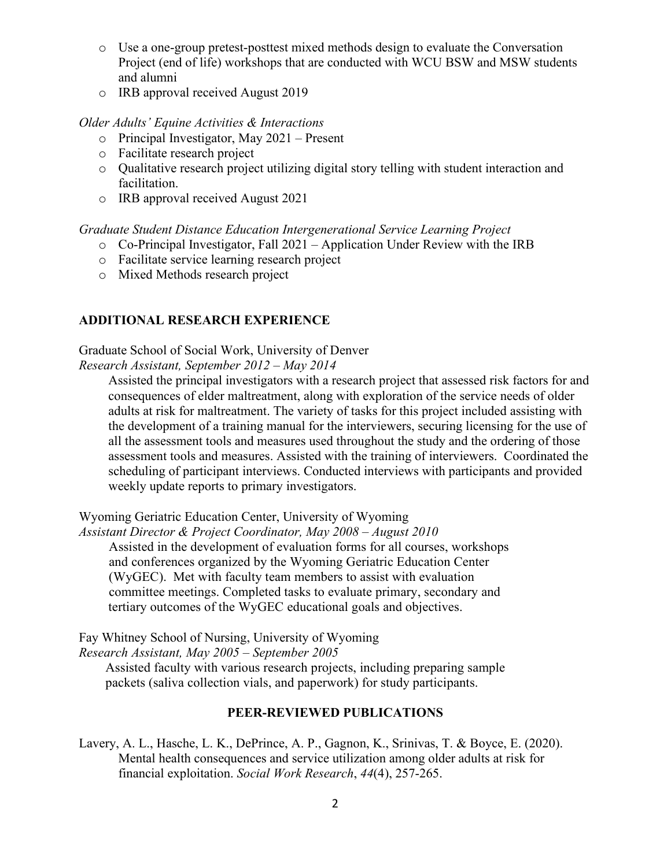- o Use a one-group pretest-posttest mixed methods design to evaluate the Conversation Project (end of life) workshops that are conducted with WCU BSW and MSW students and alumni
- o IRB approval received August 2019

### *Older Adults' Equine Activities & Interactions*

- o Principal Investigator, May 2021 Present
- o Facilitate research project
- o Qualitative research project utilizing digital story telling with student interaction and facilitation.
- o IRB approval received August 2021

## *Graduate Student Distance Education Intergenerational Service Learning Project*

- $\circ$  Co-Principal Investigator, Fall 2021 Application Under Review with the IRB
- o Facilitate service learning research project
- o Mixed Methods research project

## **ADDITIONAL RESEARCH EXPERIENCE**

Graduate School of Social Work, University of Denver *Research Assistant, September 2012 – May 2014*

Assisted the principal investigators with a research project that assessed risk factors for and consequences of elder maltreatment, along with exploration of the service needs of older adults at risk for maltreatment. The variety of tasks for this project included assisting with the development of a training manual for the interviewers, securing licensing for the use of all the assessment tools and measures used throughout the study and the ordering of those assessment tools and measures. Assisted with the training of interviewers. Coordinated the scheduling of participant interviews. Conducted interviews with participants and provided weekly update reports to primary investigators.

Wyoming Geriatric Education Center, University of Wyoming

*Assistant Director & Project Coordinator, May 2008 – August 2010*  Assisted in the development of evaluation forms for all courses, workshops and conferences organized by the Wyoming Geriatric Education Center (WyGEC). Met with faculty team members to assist with evaluation committee meetings. Completed tasks to evaluate primary, secondary and tertiary outcomes of the WyGEC educational goals and objectives.

Fay Whitney School of Nursing, University of Wyoming *Research Assistant, May 2005 – September 2005*

 Assisted faculty with various research projects, including preparing sample packets (saliva collection vials, and paperwork) for study participants.

## **PEER-REVIEWED PUBLICATIONS**

Lavery, A. L., Hasche, L. K., DePrince, A. P., Gagnon, K., Srinivas, T. & Boyce, E. (2020). Mental health consequences and service utilization among older adults at risk for financial exploitation. *Social Work Research*, *44*(4), 257-265.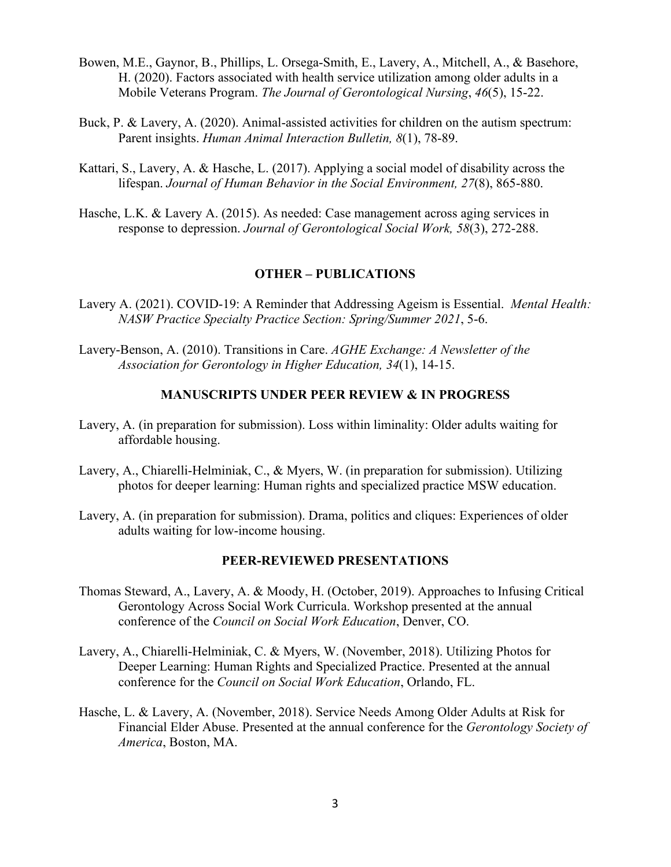- Bowen, M.E., Gaynor, B., Phillips, L. Orsega-Smith, E., Lavery, A., Mitchell, A., & Basehore, H. (2020). Factors associated with health service utilization among older adults in a Mobile Veterans Program. *The Journal of Gerontological Nursing*, *46*(5), 15-22.
- Buck, P. & Lavery, A. (2020). Animal-assisted activities for children on the autism spectrum: Parent insights. *Human Animal Interaction Bulletin, 8*(1), 78-89.
- Kattari, S., Lavery, A. & Hasche, L. (2017). Applying a social model of disability across the lifespan. *Journal of Human Behavior in the Social Environment, 27*(8), 865-880.
- Hasche, L.K. & Lavery A. (2015). As needed: Case management across aging services in response to depression. *Journal of Gerontological Social Work, 58*(3), 272-288.

### **OTHER – PUBLICATIONS**

- Lavery A. (2021). COVID-19: A Reminder that Addressing Ageism is Essential. *Mental Health: NASW Practice Specialty Practice Section: Spring/Summer 2021*, 5-6.
- Lavery-Benson, A. (2010). Transitions in Care. *AGHE Exchange: A Newsletter of the Association for Gerontology in Higher Education, 34*(1), 14-15.

### **MANUSCRIPTS UNDER PEER REVIEW & IN PROGRESS**

- Lavery, A. (in preparation for submission). Loss within liminality: Older adults waiting for affordable housing.
- Lavery, A., Chiarelli-Helminiak, C., & Myers, W. (in preparation for submission). Utilizing photos for deeper learning: Human rights and specialized practice MSW education.
- Lavery, A. (in preparation for submission). Drama, politics and cliques: Experiences of older adults waiting for low-income housing.

#### **PEER-REVIEWED PRESENTATIONS**

- Thomas Steward, A., Lavery, A. & Moody, H. (October, 2019). Approaches to Infusing Critical Gerontology Across Social Work Curricula. Workshop presented at the annual conference of the *Council on Social Work Education*, Denver, CO.
- Lavery, A., Chiarelli-Helminiak, C. & Myers, W. (November, 2018). Utilizing Photos for Deeper Learning: Human Rights and Specialized Practice. Presented at the annual conference for the *Council on Social Work Education*, Orlando, FL.
- Hasche, L. & Lavery, A. (November, 2018). Service Needs Among Older Adults at Risk for Financial Elder Abuse. Presented at the annual conference for the *Gerontology Society of America*, Boston, MA.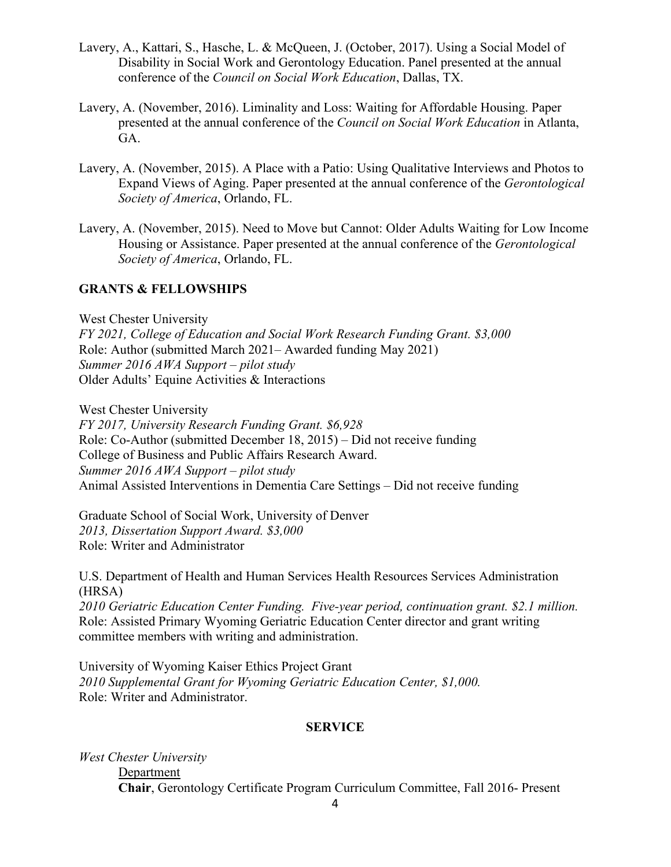- Lavery, A., Kattari, S., Hasche, L. & McQueen, J. (October, 2017). Using a Social Model of Disability in Social Work and Gerontology Education. Panel presented at the annual conference of the *Council on Social Work Education*, Dallas, TX.
- Lavery, A. (November, 2016). Liminality and Loss: Waiting for Affordable Housing. Paper presented at the annual conference of the *Council on Social Work Education* in Atlanta, GA.
- Lavery, A. (November, 2015). A Place with a Patio: Using Qualitative Interviews and Photos to Expand Views of Aging. Paper presented at the annual conference of the *Gerontological Society of America*, Orlando, FL.
- Lavery, A. (November, 2015). Need to Move but Cannot: Older Adults Waiting for Low Income Housing or Assistance. Paper presented at the annual conference of the *Gerontological Society of America*, Orlando, FL.

## **GRANTS & FELLOWSHIPS**

West Chester University *FY 2021, College of Education and Social Work Research Funding Grant. \$3,000* Role: Author (submitted March 2021– Awarded funding May 2021) *Summer 2016 AWA Support – pilot study*  Older Adults' Equine Activities & Interactions

West Chester University *FY 2017, University Research Funding Grant. \$6,928* Role: Co-Author (submitted December 18, 2015) – Did not receive funding College of Business and Public Affairs Research Award. *Summer 2016 AWA Support – pilot study*  Animal Assisted Interventions in Dementia Care Settings – Did not receive funding

Graduate School of Social Work, University of Denver *2013, Dissertation Support Award. \$3,000* Role: Writer and Administrator

U.S. Department of Health and Human Services Health Resources Services Administration (HRSA)

*2010 Geriatric Education Center Funding. Five-year period, continuation grant. \$2.1 million.*  Role: Assisted Primary Wyoming Geriatric Education Center director and grant writing committee members with writing and administration.

University of Wyoming Kaiser Ethics Project Grant *2010 Supplemental Grant for Wyoming Geriatric Education Center, \$1,000.*  Role: Writer and Administrator.

## **SERVICE**

*West Chester University* Department **Chair**, Gerontology Certificate Program Curriculum Committee, Fall 2016- Present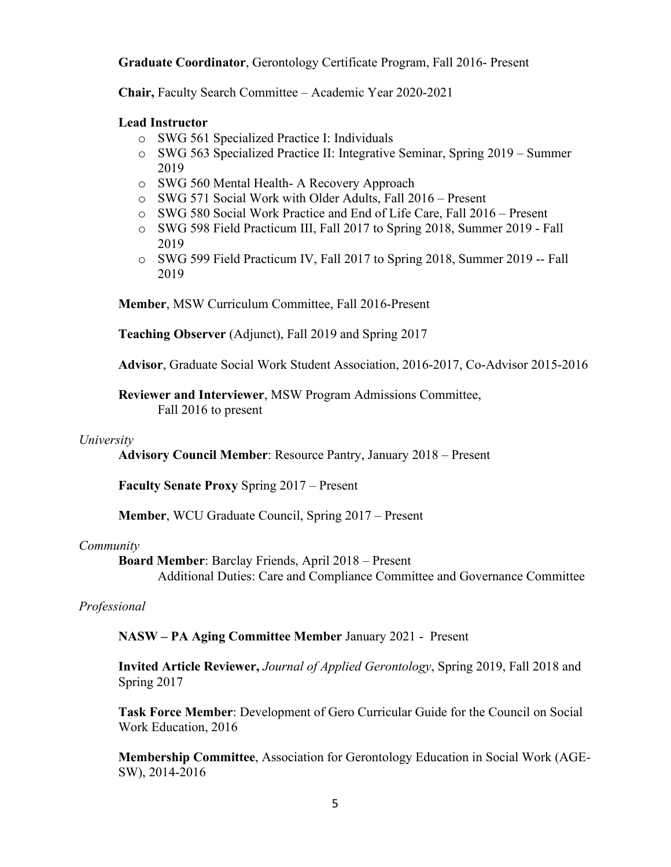**Graduate Coordinator**, Gerontology Certificate Program, Fall 2016- Present

**Chair,** Faculty Search Committee – Academic Year 2020-2021

### **Lead Instructor**

- o SWG 561 Specialized Practice I: Individuals
- o SWG 563 Specialized Practice II: Integrative Seminar, Spring 2019 Summer 2019
- o SWG 560 Mental Health- A Recovery Approach
- o SWG 571 Social Work with Older Adults, Fall 2016 Present
- o SWG 580 Social Work Practice and End of Life Care, Fall 2016 Present
- o SWG 598 Field Practicum III, Fall 2017 to Spring 2018, Summer 2019 Fall 2019
- o SWG 599 Field Practicum IV, Fall 2017 to Spring 2018, Summer 2019 -- Fall 2019

**Member**, MSW Curriculum Committee, Fall 2016-Present

**Teaching Observer** (Adjunct), Fall 2019 and Spring 2017

**Advisor**, Graduate Social Work Student Association, 2016-2017, Co-Advisor 2015-2016

**Reviewer and Interviewer**, MSW Program Admissions Committee, Fall 2016 to present

### *University*

**Advisory Council Member**: Resource Pantry, January 2018 – Present

**Faculty Senate Proxy** Spring 2017 – Present

**Member**, WCU Graduate Council, Spring 2017 – Present

### *Community*

**Board Member**: Barclay Friends, April 2018 – Present Additional Duties: Care and Compliance Committee and Governance Committee

### *Professional*

**NASW – PA Aging Committee Member** January 2021 - Present

**Invited Article Reviewer,** *Journal of Applied Gerontology*, Spring 2019, Fall 2018 and Spring 2017

**Task Force Member**: Development of Gero Curricular Guide for the Council on Social Work Education, 2016

**Membership Committee**, Association for Gerontology Education in Social Work (AGE-SW), 2014-2016